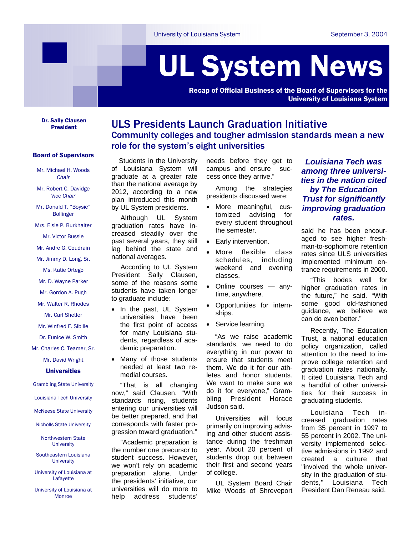# UL System News

Recap of Official Business of the Board of Supervisors for the University of Louisiana System

Dr. Sally Clausen

### Board of Supervisors

Mr. Michael H. Woods *Chair*

Mr. Robert C. Davidge *Vice Chair*

Mr. Donald T. "Boysie" Bollinger

Mrs. Elsie P. Burkhalter

Mr. Victor Bussie

Mr. Andre G. Coudrain

Mr. Jimmy D. Long, Sr.

Ms. Katie Ortego

Mr. D. Wayne Parker

Mr. Gordon A. Pugh

Mr. Walter R. Rhodes

Mr. Carl Shetler

Mr. Winfred F. Sibille

Dr. Eunice W. Smith

Mr. Charles C. Teamer, Sr.

Mr. David Wright

#### Universities

Grambling State University

Louisiana Tech University

McNeese State University

Nicholls State University

Northwestern State **University** 

Southeastern Louisiana **University** 

University of Louisiana at Lafayette

University of Louisiana at Monroe

## **ULS Presidents Launch Graduation Initiative** Community colleges and tougher admission standards mean a new role for the system's eight universities

 Students in the University of Louisiana System will graduate at a greater rate than the national average by 2012, according to a new plan introduced this month by UL System presidents.

Although UL System graduation rates have increased steadily over the past several years, they still lag behind the state and national averages.

According to UL System President Sally Clausen, some of the reasons some students have taken longer to graduate include:

- In the past, UL System universities have been the first point of access for many Louisiana students, regardless of academic preparation.
- Many of those students needed at least two remedial courses.

 "That is all changing now," said Clausen. "With standards rising, students entering our universities will be better prepared, and that corresponds with faster progression toward graduation."

"Academic preparation is the number one precursor to student success. However, we won't rely on academic preparation alone. Under the presidents' initiative, our universities will do more to help address students'

needs before they get to campus and ensure success once they arrive."

Among the strategies presidents discussed were:

- More meaningful, customized advising for every student throughout the semester.
- Early intervention.
- More flexible class schedules, including weekend and evening classes.
- Online courses anytime, anywhere.
- Opportunities for internships.
- Service learning.

 "As we raise academic standards, we need to do everything in our power to ensure that students meet them. We do it for our athletes and honor students. We want to make sure we do it for everyone," Grambling President Horace Judson said.

Universities will focus primarily on improving advising and other student assistance during the freshman year. About 20 percent of students drop out between their first and second years of college.

UL System Board Chair Mike Woods of Shreveport

*Louisiana Tech was among three universities in the nation cited by The Education Trust for significantly improving graduation rates.* 

said he has been encouraged to see higher freshman-to-sophomore retention rates since ULS universities implemented minimum entrance requirements in 2000.

"This bodes well for higher graduation rates in the future," he said. "With some good old-fashioned guidance, we believe we can do even better."

Recently, The Education Trust, a national education policy organization, called attention to the need to improve college retention and graduation rates nationally. It cited Louisiana Tech and a handful of other universities for their success in graduating students.

Louisiana Tech increased graduation rates from 35 percent in 1997 to 55 percent in 2002. The university implemented selective admissions in 1992 and created a culture that "involved the whole university in the graduation of students," Louisiana Tech President Dan Reneau said.